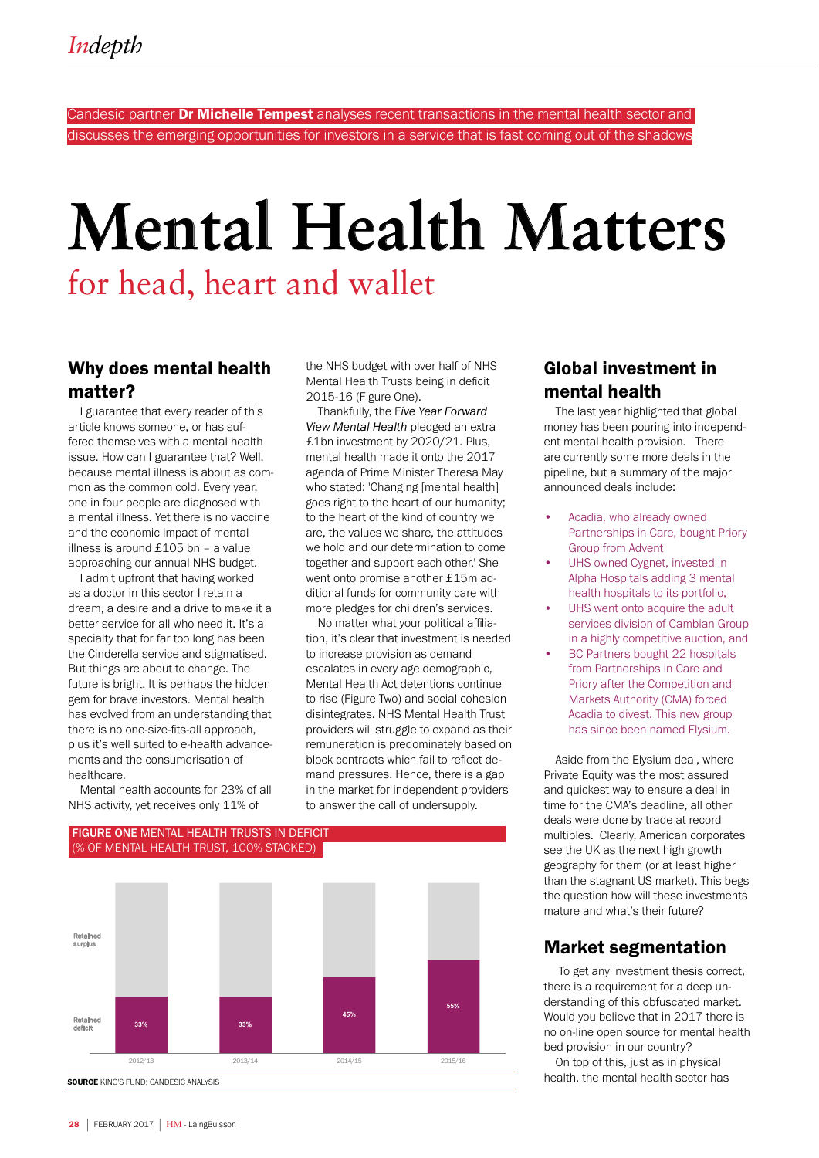Candesic partner Dr Michelle Tempest analyses recent transactions in the mental health sector and discusses the emerging opportunities for investors in a service that is fast coming out of the shadows

# **Mental Health Matters**

## for head, heart and wallet

## Why does mental health matter?

I guarantee that every reader of this article knows someone, or has suffered themselves with a mental health issue. How can I guarantee that? Well, because mental illness is about as common as the common cold. Every year, one in four people are diagnosed with a mental illness. Yet there is no vaccine and the economic impact of mental illness is around £105 bn – a value approaching our annual NHS budget.

I admit upfront that having worked as a doctor in this sector I retain a dream, a desire and a drive to make it a better service for all who need it. It's a specialty that for far too long has been the Cinderella service and stigmatised. But things are about to change. The future is bright. It is perhaps the hidden gem for brave investors. Mental health has evolved from an understanding that there is no one-size-fits-all approach, plus it's well suited to e-health advancements and the consumerisation of healthcare.

Mental health accounts for 23% of all NHS activity, yet receives only 11% of

the NHS budget with over half of NHS Mental Health Trusts being in deficit 2015-16 (Figure One).

Thankfully, the F*ive Year Forward View Mental Health* pledged an extra £1bn investment by 2020/21. Plus, mental health made it onto the 2017 agenda of Prime Minister Theresa May who stated: 'Changing [mental health] goes right to the heart of our humanity; to the heart of the kind of country we are, the values we share, the attitudes we hold and our determination to come together and support each other.' She went onto promise another £15m additional funds for community care with more pledges for children's services.

No matter what your political affiliation, it's clear that investment is needed to increase provision as demand escalates in every age demographic, Mental Health Act detentions continue to rise (Figure Two) and social cohesion disintegrates. NHS Mental Health Trust providers will struggle to expand as their remuneration is predominately based on block contracts which fail to reflect demand pressures. Hence, there is a gap in the market for independent providers to answer the call of undersupply.

#### FIGURE ONE MENTAL HEALTH TRUSTS IN DEFICIT (% OF MENTAL HEALTH TRUST, 100% STACKED)



## Global investment in mental health

The last year highlighted that global money has been pouring into independent mental health provision. There are currently some more deals in the pipeline, but a summary of the major announced deals include:

- Acadia, who already owned Partnerships in Care, bought Priory Group from Advent
- UHS owned Cygnet, invested in Alpha Hospitals adding 3 mental health hospitals to its portfolio,
- UHS went onto acquire the adult services division of Cambian Group in a highly competitive auction, and
- BC Partners bought 22 hospitals from Partnerships in Care and Priory after the Competition and Markets Authority (CMA) forced Acadia to divest. This new group has since been named Elysium.

Aside from the Elysium deal, where Private Equity was the most assured and quickest way to ensure a deal in time for the CMA's deadline, all other deals were done by trade at record multiples. Clearly, American corporates see the UK as the next high growth geography for them (or at least higher than the stagnant US market). This begs the question how will these investments mature and what's their future?

## Market segmentation

 To get any investment thesis correct, there is a requirement for a deep understanding of this obfuscated market. Would you believe that in 2017 there is no on-line open source for mental health bed provision in our country?

On top of this, just as in physical health, the mental health sector has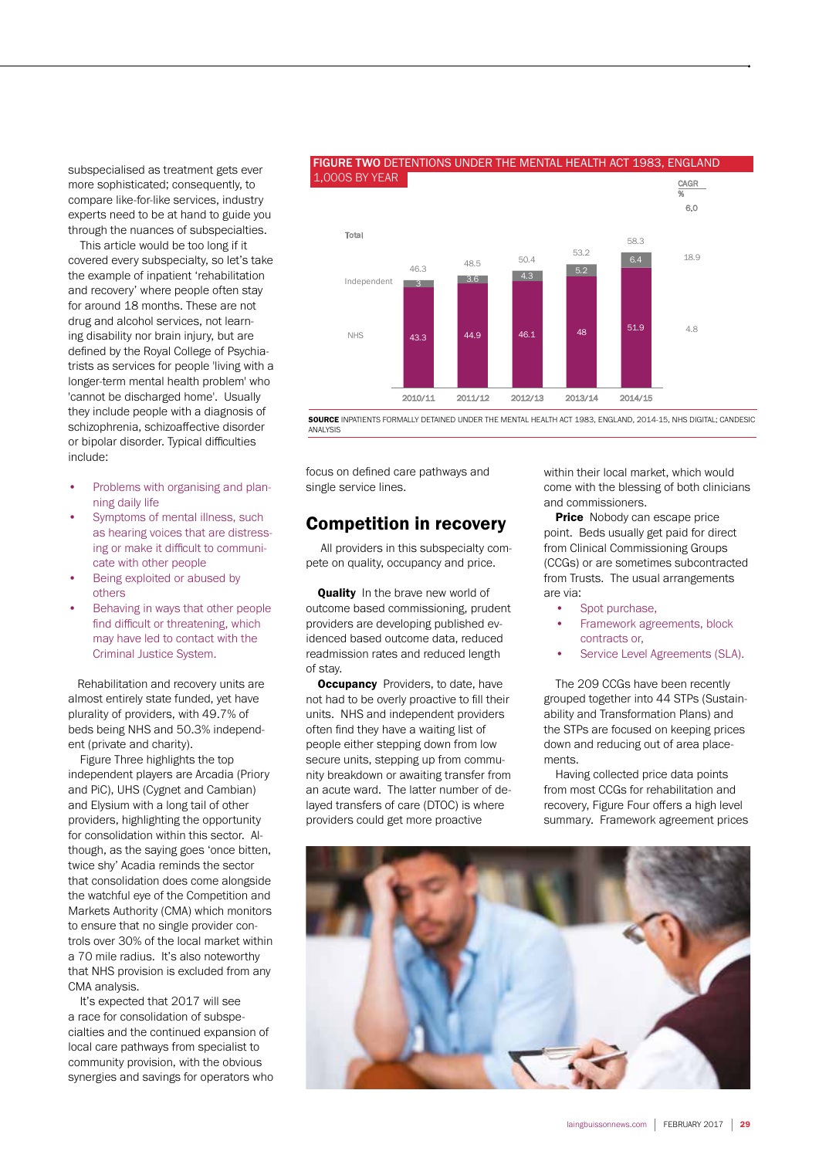subspecialised as treatment gets ever more sophisticated; consequently, to compare like-for-like services, industry experts need to be at hand to guide you through the nuances of subspecialties.

This article would be too long if it covered every subspecialty, so let's take the example of inpatient 'rehabilitation and recovery' where people often stay for around 18 months. These are not drug and alcohol services, not learning disability nor brain injury, but are defined by the Royal College of Psychiatrists as services for people 'living with a longer-term mental health problem' who 'cannot be discharged home'. Usually they include people with a diagnosis of schizophrenia, schizoaffective disorder or bipolar disorder. Typical difficulties include:

- Problems with organising and planning daily life
- Symptoms of mental illness, such as hearing voices that are distressing or make it difficult to communicate with other people
- Being exploited or abused by others
- Behaving in ways that other people find difficult or threatening, which may have led to contact with the Criminal Justice System.

 Rehabilitation and recovery units are almost entirely state funded, yet have plurality of providers, with 49.7% of beds being NHS and 50.3% independent (private and charity).

Figure Three highlights the top independent players are Arcadia (Priory and PiC), UHS (Cygnet and Cambian) and Elysium with a long tail of other providers, highlighting the opportunity for consolidation within this sector. Although, as the saying goes 'once bitten, twice shy' Acadia reminds the sector that consolidation does come alongside the watchful eye of the Competition and Markets Authority (CMA) which monitors to ensure that no single provider controls over 30% of the local market within a 70 mile radius. It's also noteworthy that NHS provision is excluded from any CMA analysis.

It's expected that 2017 will see a race for consolidation of subspecialties and the continued expansion of local care pathways from specialist to community provision, with the obvious synergies and savings for operators who

#### 6.3<br>3 3.6 4.3 5.2 6.4 46.3 48.5 50.4 53.2 58.3 Independent Total CAGR % 6.0 18.9 1,000S BY YEAR

FIGURE TWO DETENTIONS UNDER THE MENTAL HEALTH ACT 1983, ENGLAND

SOURCE INPATIENTS FORMALLY DETAINED UNDER THE MENTAL HEALTH ACT 1983, ENGLAND, 2014-15, NHS DIGITAL; CANDESIC

2010/11 2011/12 2012/13 2013/14 2014/15

43.3 44.9 46.1 <sup>48</sup> 51.9

focus on defined care pathways and single service lines.

ANALYSIS

NHS

## Competition in recovery

 All providers in this subspecialty compete on quality, occupancy and price.

Quality In the brave new world of outcome based commissioning, prudent providers are developing published evidenced based outcome data, reduced readmission rates and reduced length of stay.

**Occupancy** Providers, to date, have not had to be overly proactive to fill their units. NHS and independent providers often find they have a waiting list of people either stepping down from low secure units, stepping up from community breakdown or awaiting transfer from an acute ward. The latter number of delayed transfers of care (DTOC) is where providers could get more proactive

within their local market, which would come with the blessing of both clinicians and commissioners.

 $4.8$ 

**Price** Nobody can escape price point. Beds usually get paid for direct from Clinical Commissioning Groups (CCGs) or are sometimes subcontracted from Trusts. The usual arrangements are via:

- Spot purchase,
- Framework agreements, block contracts or,
- Service Level Agreements (SLA).

The 209 CCGs have been recently grouped together into 44 STPs (Sustainability and Transformation Plans) and the STPs are focused on keeping prices down and reducing out of area placements.

Having collected price data points from most CCGs for rehabilitation and recovery, Figure Four offers a high level summary. Framework agreement prices